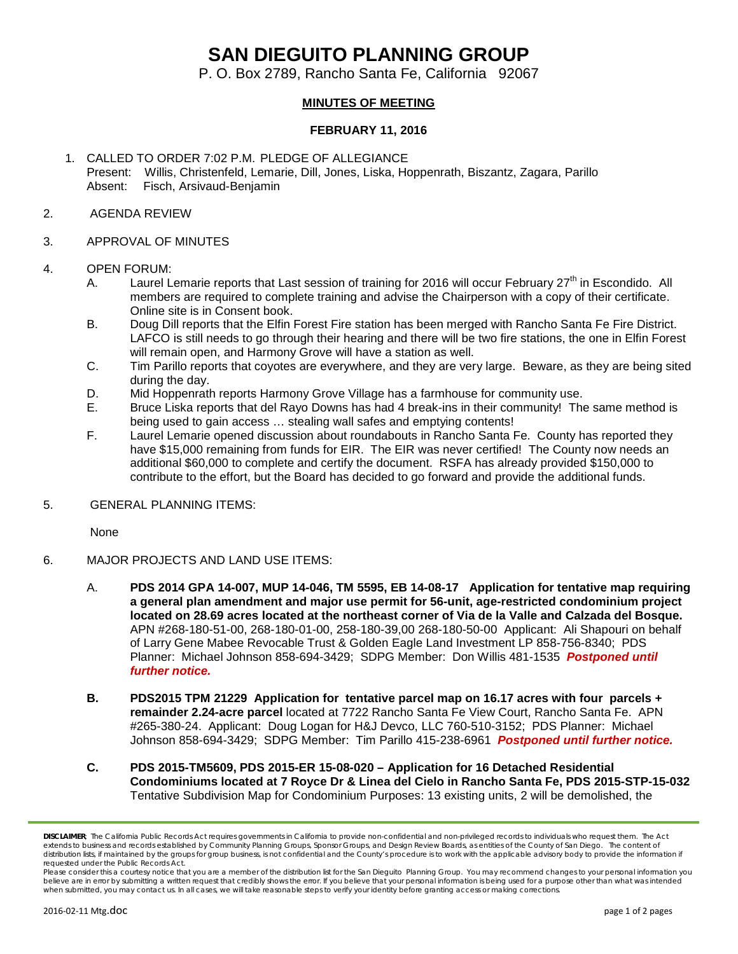# **SAN DIEGUITO PLANNING GROUP**

P. O. Box 2789, Rancho Santa Fe, California 92067

# **MINUTES OF MEETING**

## **FEBRUARY 11, 2016**

1. CALLED TO ORDER 7:02 P.M. PLEDGE OF ALLEGIANCE Present: Willis, Christenfeld, Lemarie, Dill, Jones, Liska, Hoppenrath, Biszantz, Zagara, Parillo Absent: Fisch, Arsivaud-Benjamin

#### 2. AGENDA REVIEW

#### 3. APPROVAL OF MINUTES

#### 4. OPEN FORUM:

- A. Laurel Lemarie reports that Last session of training for 2016 will occur February  $27<sup>th</sup>$  in Escondido. All members are required to complete training and advise the Chairperson with a copy of their certificate. Online site is in Consent book.
- B. Doug Dill reports that the Elfin Forest Fire station has been merged with Rancho Santa Fe Fire District. LAFCO is still needs to go through their hearing and there will be two fire stations, the one in Elfin Forest will remain open, and Harmony Grove will have a station as well.
- C. Tim Parillo reports that coyotes are everywhere, and they are very large. Beware, as they are being sited during the day.
- D. Mid Hoppenrath reports Harmony Grove Village has a farmhouse for community use.
- E. Bruce Liska reports that del Rayo Downs has had 4 break-ins in their community! The same method is being used to gain access … stealing wall safes and emptying contents!
- F. Laurel Lemarie opened discussion about roundabouts in Rancho Santa Fe. County has reported they have \$15,000 remaining from funds for EIR. The EIR was never certified! The County now needs an additional \$60,000 to complete and certify the document. RSFA has already provided \$150,000 to contribute to the effort, but the Board has decided to go forward and provide the additional funds.

## 5. GENERAL PLANNING ITEMS:

None

## 6. MAJOR PROJECTS AND LAND USE ITEMS:

- A. **PDS 2014 GPA 14-007, MUP 14-046, TM 5595, EB 14-08-17 Application for tentative map requiring a general plan amendment and major use permit for 56-unit, age-restricted condominium project located on 28.69 acres located at the northeast corner of Via de la Valle and Calzada del Bosque.**  APN #268-180-51-00, 268-180-01-00, 258-180-39,00 268-180-50-00 Applicant: Ali Shapouri on behalf of Larry Gene Mabee Revocable Trust & Golden Eagle Land Investment LP 858-756-8340; PDS Planner: Michael Johnson 858-694-3429; SDPG Member: Don Willis 481-1535 *Postponed until further notice.*
- **B. PDS2015 TPM 21229 Application for tentative parcel map on 16.17 acres with four parcels + remainder 2.24-acre parcel** located at 7722 Rancho Santa Fe View Court, Rancho Santa Fe. APN #265-380-24. Applicant: Doug Logan for H&J Devco, LLC 760-510-3152; PDS Planner: Michael Johnson 858-694-3429; SDPG Member: Tim Parillo 415-238-6961 *Postponed until further notice.*
- **C. PDS 2015-TM5609, PDS 2015-ER 15-08-020 – Application for 16 Detached Residential Condominiums located at 7 Royce Dr & Linea del Cielo in Rancho Santa Fe, PDS 2015-STP-15-032**  Tentative Subdivision Map for Condominium Purposes: 13 existing units, 2 will be demolished, the

*DISCLAIMER; The California Public Records Act requires governments in California to provide non-confidential and non-privileged records to individuals who request them. The Act extends to business and records established by Community Planning Groups, Sponsor Groups, and Design Review Boards, as entities of the County of San Diego. The content of*  distribution lists, if maintained by the groups for group business, is not confidential and the County's procedure is to work with the applicable advisory body to provide the information if *requested under the Public Records Act.*

*Please consider this a courtesy notice that you are a member of the distribution list for the San Dieguito Planning Group. You may recommend changes to your personal information you believe are in error by submitting a written request that credibly shows the error. If you believe that your personal information is being used for a purpose other than what was intended when submitted, you may contact us. In all cases, we will take reasonable steps to verify your identity before granting access or making corrections.*